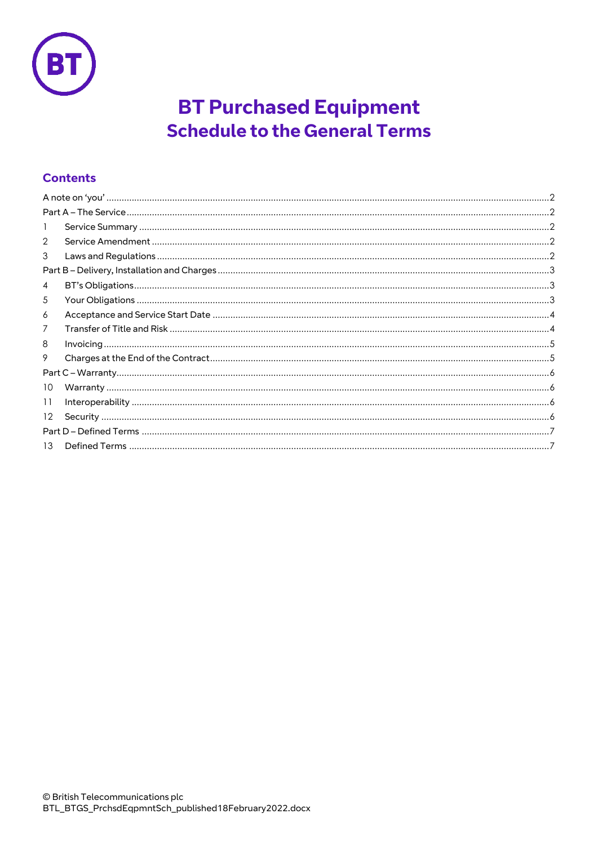

# **BT Purchased Equipment Schedule to the General Terms**

## **Contents**

| 1               |                                                                                                                                                                                                                                                                                                                                                                                                                                                                                                                                                              |
|-----------------|--------------------------------------------------------------------------------------------------------------------------------------------------------------------------------------------------------------------------------------------------------------------------------------------------------------------------------------------------------------------------------------------------------------------------------------------------------------------------------------------------------------------------------------------------------------|
| 2               |                                                                                                                                                                                                                                                                                                                                                                                                                                                                                                                                                              |
| 3               |                                                                                                                                                                                                                                                                                                                                                                                                                                                                                                                                                              |
|                 |                                                                                                                                                                                                                                                                                                                                                                                                                                                                                                                                                              |
| 4               |                                                                                                                                                                                                                                                                                                                                                                                                                                                                                                                                                              |
| 5               |                                                                                                                                                                                                                                                                                                                                                                                                                                                                                                                                                              |
| 6               |                                                                                                                                                                                                                                                                                                                                                                                                                                                                                                                                                              |
| 7               | $\label{thm:main} \textbf{Transfer of Title and Risk} \footnotesize \textbf{} \footnotesize \textbf{} \footnotesize \textbf{} \footnotesize \textbf{} \footnotesize \textbf{} \footnotesize \textbf{} \footnotesize \textbf{} \footnotesize \textbf{} \footnotesize \textbf{} \footnotesize \textbf{} \footnotesize \textbf{} \footnotesize \textbf{} \footnotesize \textbf{} \footnotesize \textbf{} \footnotesize \textbf{} \footnotesize \textbf{} \footnotesize \textbf{} \footnotesize \textbf{} \footnotesize \textbf{} \footnotesize \textbf{} \foot$ |
| 8               |                                                                                                                                                                                                                                                                                                                                                                                                                                                                                                                                                              |
| 9               |                                                                                                                                                                                                                                                                                                                                                                                                                                                                                                                                                              |
|                 |                                                                                                                                                                                                                                                                                                                                                                                                                                                                                                                                                              |
| 10              |                                                                                                                                                                                                                                                                                                                                                                                                                                                                                                                                                              |
| 11              | $Interoperability\,\,\,\,\,\,\,\,\,\,\,\,\,\,.$                                                                                                                                                                                                                                                                                                                                                                                                                                                                                                              |
| 12 <sup>2</sup> |                                                                                                                                                                                                                                                                                                                                                                                                                                                                                                                                                              |
|                 |                                                                                                                                                                                                                                                                                                                                                                                                                                                                                                                                                              |
| 13              |                                                                                                                                                                                                                                                                                                                                                                                                                                                                                                                                                              |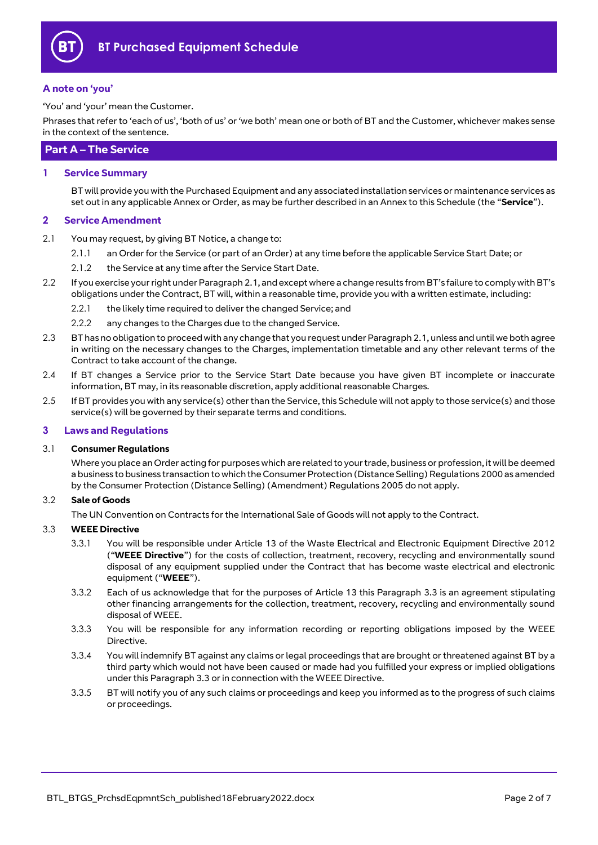

#### <span id="page-1-0"></span>**A note on 'you'**

'You' and 'your' mean the Customer.

Phrases that refer to 'each of us', 'both of us' or 'we both' mean one or both of BT and the Customer, whichever makes sense in the context of the sentence.

### <span id="page-1-1"></span>**Part A – The Service**

#### <span id="page-1-2"></span>**1 Service Summary**

BT will provide you with the Purchased Equipment and any associated installation services or maintenance services as set out in any applicable Annex or Order, as may be further described in an Annex to this Schedule (the "**Service**").

#### <span id="page-1-3"></span>**2 Service Amendment**

- <span id="page-1-5"></span>2.1 You may request, by giving BT Notice, a change to:
	- 2.1.1 an Order for the Service (or part of an Order) at any time before the applicable Service Start Date; or
	- 2.1.2 the Service at any time after the Service Start Date.
- 2.2 If you exercise your right under Paragrap[h 2.1](#page-1-5), and except where a change results from BT's failure to comply with BT's obligations under the Contract, BT will, within a reasonable time, provide you with a written estimate, including:
	- 2.2.1 the likely time required to deliver the changed Service; and
	- 2.2.2 any changes to the Charges due to the changed Service.
- 2.3 BT has no obligation to proceed with any change that you request under Paragrap[h 2.1,](#page-1-5) unless and until we both agree in writing on the necessary changes to the Charges, implementation timetable and any other relevant terms of the Contract to take account of the change.
- 2.4 If BT changes a Service prior to the Service Start Date because you have given BT incomplete or inaccurate information, BT may, in its reasonable discretion, apply additional reasonable Charges.
- 2.5 If BT provides you with any service(s) other than the Service, this Schedule will not apply to those service(s) and those service(s) will be governed by their separate terms and conditions.

#### <span id="page-1-4"></span>**3 Laws and Regulations**

#### 3.1 **Consumer Regulations**

Where you place an Order acting for purposes which are related to your trade, business or profession, it will be deemed a business to business transaction to which the Consumer Protection (Distance Selling) Regulations 2000 as amended by the Consumer Protection (Distance Selling) (Amendment) Regulations 2005 do not apply.

#### 3.2 **Sale of Goods**

The UN Convention on Contracts for the International Sale of Goods will not apply to the Contract.

#### <span id="page-1-7"></span><span id="page-1-6"></span>3.3 **WEEE Directive**

- 3.3.1 You will be responsible under Article 13 of the Waste Electrical and Electronic Equipment Directive 2012 ("**WEEE Directive**") for the costs of collection, treatment, recovery, recycling and environmentally sound disposal of any equipment supplied under the Contract that has become waste electrical and electronic equipment ("**WEEE**").
- 3.3.2 Each of us acknowledge that for the purposes of Article 13 this Paragraph [3.3](#page-1-6) is an agreement stipulating other financing arrangements for the collection, treatment, recovery, recycling and environmentally sound disposal of WEEE.
- 3.3.3 You will be responsible for any information recording or reporting obligations imposed by the WEEE Directive.
- 3.3.4 You will indemnify BT against any claims or legal proceedings that are brought or threatened against BT by a third party which would not have been caused or made had you fulfilled your express or implied obligations under this Paragrap[h 3.3](#page-1-6) or in connection with the WEEE Directive.
- 3.3.5 BT will notify you of any such claims or proceedings and keep you informed as to the progress of such claims or proceedings.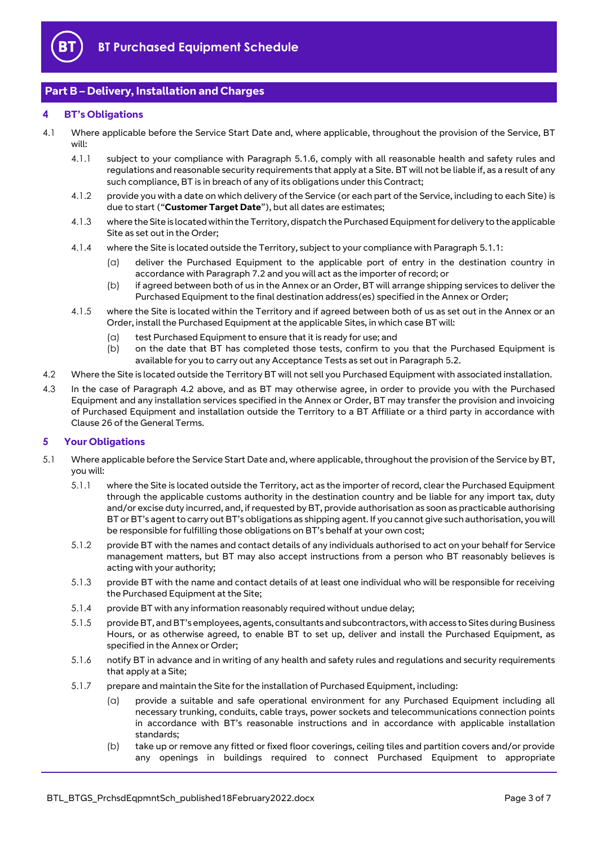

## <span id="page-2-0"></span>**Part B – Delivery, Installation and Charges**

#### <span id="page-2-1"></span>**4 BT's Obligations**

- <span id="page-2-8"></span>4.1 Where applicable before the Service Start Date and, where applicable, throughout the provision of the Service, BT will:
	- 4.1.1 subject to your compliance with Paragraph [5.1.6,](#page-2-3) comply with all reasonable health and safety rules and regulations and reasonable security requirements that apply at a Site. BT will not be liable if, as a result of any such compliance, BT is in breach of any of its obligations under this Contract;
	- 4.1.2 provide you with a date on which delivery of the Service (or each part of the Service, including to each Site) is due to start ("**Customer Target Date**"), but all dates are estimates;
	- 4.1.3 where the Site is located within the Territory, dispatch the Purchased Equipment for delivery to the applicable Site as set out in the Order;
	- 4.1.4 where the Site is located outside the Territory, subject to your compliance with Paragrap[h 5.1.1:](#page-2-4)
		- (a) deliver the Purchased Equipment to the applicable port of entry in the destination country in accordance with Paragrap[h 7.2](#page-4-2) and you will act as the importer of record; or
		- (b) if agreed between both of us in the Annex or an Order, BT will arrange shipping services to deliver the Purchased Equipment to the final destination address(es) specified in the Annex or Order;
	- 4.1.5 where the Site is located within the Territory and if agreed between both of us as set out in the Annex or an Order, install the Purchased Equipment at the applicable Sites, in which case BT will:
		- (a) test Purchased Equipment to ensure that it is ready for use; and
		- (b) on the date that BT has completed those tests, confirm to you that the Purchased Equipment is available for you to carry out any Acceptance Tests as set out in Paragrap[h 5.2.](#page-3-2)
- <span id="page-2-7"></span><span id="page-2-6"></span><span id="page-2-5"></span>4.2 Where the Site is located outside the Territory BT will not sell you Purchased Equipment with associated installation.
- 4.3 In the case of Paragraph [4.2](#page-2-5) above, and as BT may otherwise agree, in order to provide you with the Purchased Equipment and any installation services specified in the Annex or Order, BT may transfer the provision and invoicing of Purchased Equipment and installation outside the Territory to a BT Affiliate or a third party in accordance with Clause 26 of the General Terms.

#### <span id="page-2-2"></span>**5 Your Obligations**

- <span id="page-2-4"></span><span id="page-2-3"></span>5.1 Where applicable before the Service Start Date and, where applicable, throughout the provision of the Service by BT, you will:
	- 5.1.1 where the Site is located outside the Territory, act as the importer of record, clear the Purchased Equipment through the applicable customs authority in the destination country and be liable for any import tax, duty and/or excise duty incurred, and, if requested by BT, provide authorisation as soon as practicable authorising BT or BT's agent to carry out BT's obligations as shipping agent. If you cannot give such authorisation, you will be responsible for fulfilling those obligations on BT's behalf at your own cost;
	- 5.1.2 provide BT with the names and contact details of any individuals authorised to act on your behalf for Service management matters, but BT may also accept instructions from a person who BT reasonably believes is acting with your authority;
	- 5.1.3 provide BT with the name and contact details of at least one individual who will be responsible for receiving the Purchased Equipment at the Site;
	- 5.1.4 provide BT with any information reasonably required without undue delay;
	- 5.1.5 provide BT, and BT's employees, agents, consultants and subcontractors, with access to Sites during Business Hours, or as otherwise agreed, to enable BT to set up, deliver and install the Purchased Equipment, as specified in the Annex or Order;
	- 5.1.6 notify BT in advance and in writing of any health and safety rules and regulations and security requirements that apply at a Site;
	- 5.1.7 prepare and maintain the Site for the installation of Purchased Equipment, including:
		- (a) provide a suitable and safe operational environment for any Purchased Equipment including all necessary trunking, conduits, cable trays, power sockets and telecommunications connection points in accordance with BT's reasonable instructions and in accordance with applicable installation standards;
		- (b) take up or remove any fitted or fixed floor coverings, ceiling tiles and partition covers and/or provide any openings in buildings required to connect Purchased Equipment to appropriate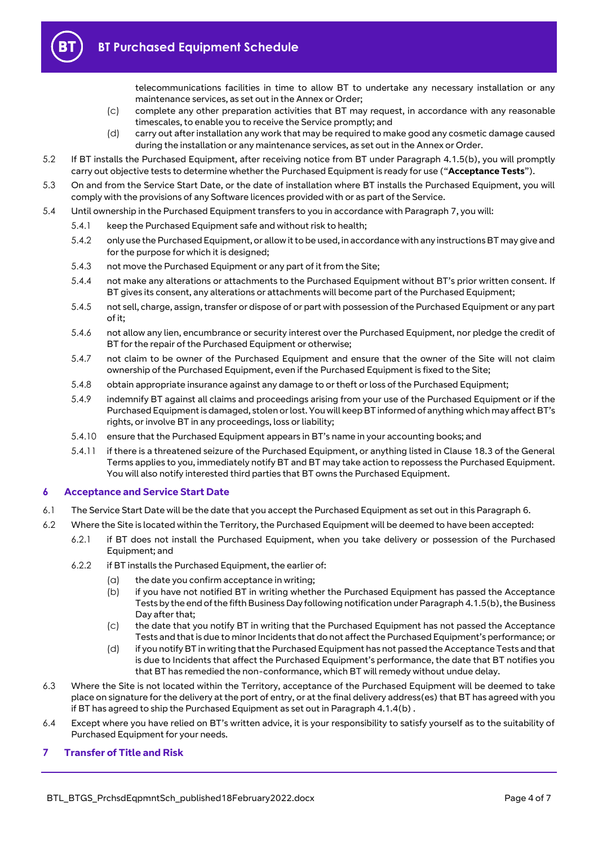

telecommunications facilities in time to allow BT to undertake any necessary installation or any maintenance services, as set out in the Annex or Order;

- (c) complete any other preparation activities that BT may request, in accordance with any reasonable timescales, to enable you to receive the Service promptly; and
- (d) carry out after installation any work that may be required to make good any cosmetic damage caused during the installation or any maintenance services, as set out in the Annex or Order.
- <span id="page-3-2"></span>5.2 If BT installs the Purchased Equipment, after receiving notice from BT under Paragraph [4.1.5\(b\),](#page-2-6) you will promptly carry out objective tests to determine whether the Purchased Equipment is ready for use ("**Acceptance Tests**").
- 5.3 On and from the Service Start Date, or the date of installation where BT installs the Purchased Equipment, you will comply with the provisions of any Software licences provided with or as part of the Service.
- 5.4 Until ownership in the Purchased Equipment transfers to you in accordance with Paragraph [7,](#page-3-1) you will:
	- 5.4.1 keep the Purchased Equipment safe and without risk to health;
	- 5.4.2 only use the Purchased Equipment, or allow it to be used, in accordance with any instructions BT may give and for the purpose for which it is designed;
	- 5.4.3 not move the Purchased Equipment or any part of it from the Site;
	- 5.4.4 not make any alterations or attachments to the Purchased Equipment without BT's prior written consent. If BT gives its consent, any alterations or attachments will become part of the Purchased Equipment;
	- 5.4.5 not sell, charge, assign, transfer or dispose of or part with possession of the Purchased Equipment or any part of it;
	- 5.4.6 not allow any lien, encumbrance or security interest over the Purchased Equipment, nor pledge the credit of BT for the repair of the Purchased Equipment or otherwise;
	- 5.4.7 not claim to be owner of the Purchased Equipment and ensure that the owner of the Site will not claim ownership of the Purchased Equipment, even if the Purchased Equipment is fixed to the Site;
	- 5.4.8 obtain appropriate insurance against any damage to or theft or loss of the Purchased Equipment;
	- 5.4.9 indemnify BT against all claims and proceedings arising from your use of the Purchased Equipment or if the Purchased Equipment is damaged, stolen or lost. You will keep BT informed of anything which may affect BT's rights, or involve BT in any proceedings, loss or liability;
	- 5.4.10 ensure that the Purchased Equipment appears in BT's name in your accounting books; and
	- 5.4.11 if there is a threatened seizure of the Purchased Equipment, or anything listed in Clause 18.3 of the General Terms applies to you, immediately notify BT and BT may take action to repossess the Purchased Equipment. You will also notify interested third parties that BT owns the Purchased Equipment.

#### <span id="page-3-0"></span>**6 Acceptance and Service Start Date**

- <span id="page-3-3"></span>6.1 The Service Start Date will be the date that you accept the Purchased Equipment as set out in this Paragrap[h 6.](#page-3-0)
- 6.2 Where the Site is located within the Territory, the Purchased Equipment will be deemed to have been accepted:
	- 6.2.1 if BT does not install the Purchased Equipment, when you take delivery or possession of the Purchased Equipment; and
	- 6.2.2 if BT installs the Purchased Equipment, the earlier of:
		- (a) the date you confirm acceptance in writing;
		- (b) if you have not notified BT in writing whether the Purchased Equipment has passed the Acceptance Tests by the end of the fifth Business Day following notification under Paragrap[h 4.1.5\(b\),](#page-2-6) the Business Day after that;
		- (c) the date that you notify BT in writing that the Purchased Equipment has not passed the Acceptance Tests and that is due to minor Incidents that do not affect the Purchased Equipment's performance; or
		- (d) if you notify BT in writing that the Purchased Equipment has not passed the Acceptance Tests and that is due to Incidents that affect the Purchased Equipment's performance, the date that BT notifies you that BT has remedied the non-conformance, which BT will remedy without undue delay.
- 6.3 Where the Site is not located within the Territory, acceptance of the Purchased Equipment will be deemed to take place on signature for the delivery at the port of entry, or at the final delivery address(es) that BT has agreed with you if BT has agreed to ship the Purchased Equipment as set out in Paragrap[h 4.1.4\(b\)](#page-2-7) .
- 6.4 Except where you have relied on BT's written advice, it is your responsibility to satisfy yourself as to the suitability of Purchased Equipment for your needs.

#### <span id="page-3-1"></span>**7 Transfer of Title and Risk**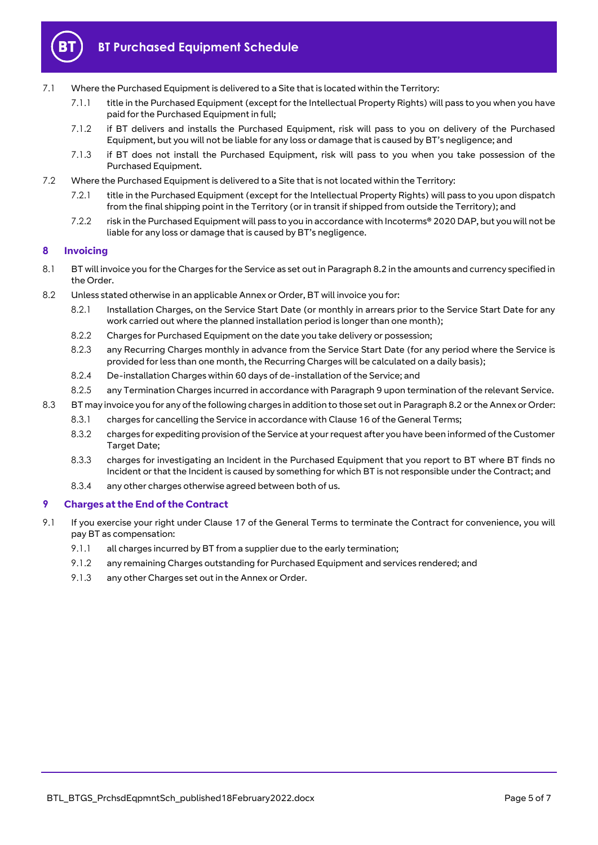

- 7.1 Where the Purchased Equipment is delivered to a Site that is located within the Territory:
	- 7.1.1 title in the Purchased Equipment (except for the Intellectual Property Rights) will pass to you when you have paid for the Purchased Equipment in full;
	- 7.1.2 if BT delivers and installs the Purchased Equipment, risk will pass to you on delivery of the Purchased Equipment, but you will not be liable for any loss or damage that is caused by BT's negligence; and
	- 7.1.3 if BT does not install the Purchased Equipment, risk will pass to you when you take possession of the Purchased Equipment.
- <span id="page-4-2"></span>7.2 Where the Purchased Equipment is delivered to a Site that is not located within the Territory:
	- 7.2.1 title in the Purchased Equipment (except for the Intellectual Property Rights) will pass to you upon dispatch from the final shipping point in the Territory (or in transit if shipped from outside the Territory); and
	- 7.2.2 risk in the Purchased Equipment will pass to you in accordance with Incoterms® 2020 DAP, but you will not be liable for any loss or damage that is caused by BT's negligence.

#### <span id="page-4-0"></span>**8 Invoicing**

- 8.1 BT will invoice you for the Charges for the Service as set out in Paragraph [8.2](#page-4-3) in the amounts and currency specified in the Order.
- <span id="page-4-3"></span>8.2 Unless stated otherwise in an applicable Annex or Order, BT will invoice you for:
	- 8.2.1 Installation Charges, on the Service Start Date (or monthly in arrears prior to the Service Start Date for any work carried out where the planned installation period is longer than one month);
	- 8.2.2 Charges for Purchased Equipment on the date you take delivery or possession;
	- 8.2.3 any Recurring Charges monthly in advance from the Service Start Date (for any period where the Service is provided for less than one month, the Recurring Charges will be calculated on a daily basis);
	- 8.2.4 De-installation Charges within 60 days of de-installation of the Service; and
	- 8.2.5 any Termination Charges incurred in accordance with Paragrap[h 9](#page-4-1) upon termination of the relevant Service.
- 8.3 BT may invoice you for any of the following charges in addition to those set out in Paragrap[h 8.2](#page-4-3) orthe Annex or Order:
	- 8.3.1 charges for cancelling the Service in accordance with Clause 16 of the General Terms;
	- 8.3.2 charges for expediting provision of the Service at your request after you have been informed of the Customer Target Date;
	- 8.3.3 charges for investigating an Incident in the Purchased Equipment that you report to BT where BT finds no Incident or that the Incident is caused by something for which BT is not responsible under the Contract; and
	- 8.3.4 any other charges otherwise agreed between both of us.

#### <span id="page-4-1"></span>**9 Charges at the End of the Contract**

- 9.1 If you exercise your right under Clause 17 of the General Terms to terminate the Contract for convenience, you will pay BT as compensation:
	- 9.1.1 all charges incurred by BT from a supplier due to the early termination;
	- 9.1.2 any remaining Charges outstanding for Purchased Equipment and services rendered; and
	- 9.1.3 any other Charges set out in the Annex or Order.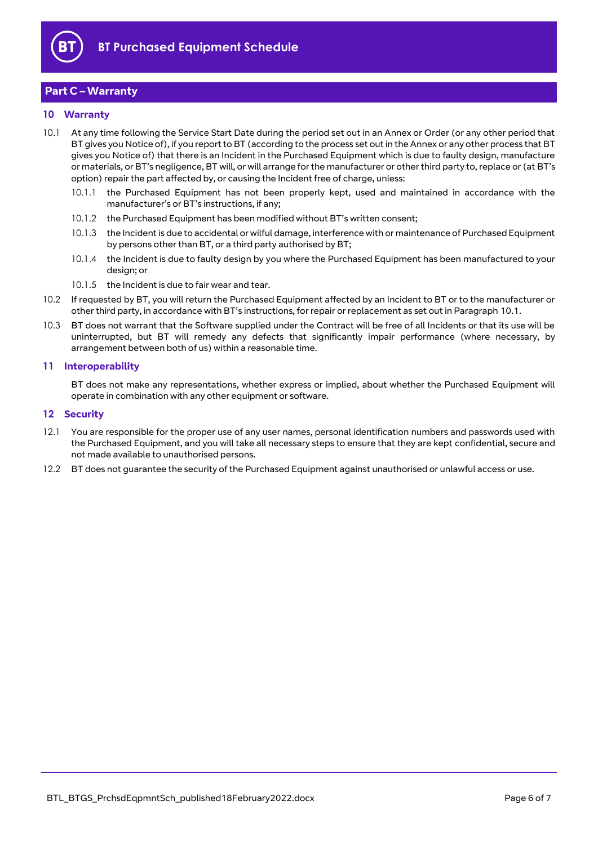

## <span id="page-5-0"></span>**Part C – Warranty**

#### <span id="page-5-1"></span>**10 Warranty**

- <span id="page-5-4"></span>10.1 At any time following the Service Start Date during the period set out in an Annex or Order (or any other period that BT gives you Notice of), if you report to BT (according to the process set out in the Annex or any other process that BT gives you Notice of) that there is an Incident in the Purchased Equipment which is due to faulty design, manufacture or materials, or BT's negligence, BT will, or will arrange for the manufacturer or other third party to, replace or (at BT's option) repair the part affected by, or causing the Incident free of charge, unless:
	- 10.1.1 the Purchased Equipment has not been properly kept, used and maintained in accordance with the manufacturer's or BT's instructions, if any;
	- 10.1.2 the Purchased Equipment has been modified without BT's written consent;
	- 10.1.3 the Incident is due to accidental or wilful damage, interference with or maintenance of Purchased Equipment by persons other than BT, or a third party authorised by BT;
	- 10.1.4 the Incident is due to faulty design by you where the Purchased Equipment has been manufactured to your design; or
	- 10.1.5 the Incident is due to fair wear and tear.
- 10.2 If requested by BT, you will return the Purchased Equipment affected by an Incident to BT or to the manufacturer or other third party, in accordance with BT's instructions, for repair or replacement as set out in Paragraph [10.1.](#page-5-4)
- 10.3 BT does not warrant that the Software supplied under the Contract will be free of all Incidents or that its use will be uninterrupted, but BT will remedy any defects that significantly impair performance (where necessary, by arrangement between both of us) within a reasonable time.

#### <span id="page-5-2"></span>**11 Interoperability**

BT does not make any representations, whether express or implied, about whether the Purchased Equipment will operate in combination with any other equipment or software.

#### <span id="page-5-3"></span>**12 Security**

- 12.1 You are responsible for the proper use of any user names, personal identification numbers and passwords used with the Purchased Equipment, and you will take all necessary steps to ensure that they are kept confidential, secure and not made available to unauthorised persons.
- 12.2 BT does not guarantee the security of the Purchased Equipment against unauthorised or unlawful access or use.